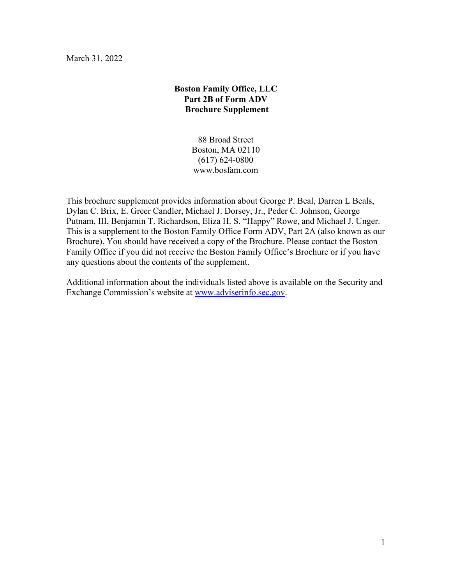March 31, 2022

# **Boston Family Office, LLC Part 2B of Form ADV Brochure Supplement**

88 Broad Street Boston, MA 02110 (617) 624-0800 www.bosfam.com

This brochure supplement provides information about George P. Beal, Darren L Beals, Dylan C. Brix, E. Greer Candler, Michael J. Dorsey, Jr., Peder C. Johnson, George Putnam, III, Benjamin T. Richardson, Eliza H. S. "Happy" Rowe, and Michael J. Unger. This is a supplement to the Boston Family Office Form ADV, Part 2A (also known as our Brochure). You should have received a copy of the Brochure. Please contact the Boston Family Office if you did not receive the Boston Family Office's Brochure or if you have any questions about the contents of the supplement.

Additional information about the individuals listed above is available on the Security and Exchange Commission's website at [www.adviserinfo.sec.gov.](http://www.adviserinfo.sec.gov/)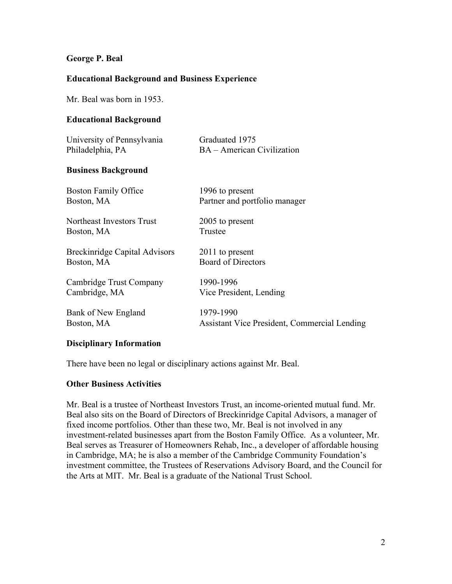## **George P. Beal**

# **Educational Background and Business Experience**

Mr. Beal was born in 1953.

## **Educational Background**

| University of Pennsylvania | Graduated 1975             |
|----------------------------|----------------------------|
| Philadelphia, PA           | BA – American Civilization |
|                            |                            |
| <b>Business Background</b> |                            |

| <b>Boston Family Office</b>          | 1996 to present                              |
|--------------------------------------|----------------------------------------------|
| Boston, MA                           | Partner and portfolio manager                |
| Northeast Investors Trust            | 2005 to present                              |
| Boston, MA                           | Trustee                                      |
| <b>Breckinridge Capital Advisors</b> | 2011 to present                              |
| Boston, MA                           | <b>Board of Directors</b>                    |
| Cambridge Trust Company              | 1990-1996                                    |
| Cambridge, MA                        | Vice President, Lending                      |
| Bank of New England                  | 1979-1990                                    |
| Boston, MA                           | Assistant Vice President, Commercial Lending |

### **Disciplinary Information**

There have been no legal or disciplinary actions against Mr. Beal.

### **Other Business Activities**

Mr. Beal is a trustee of Northeast Investors Trust, an income-oriented mutual fund. Mr. Beal also sits on the Board of Directors of Breckinridge Capital Advisors, a manager of fixed income portfolios. Other than these two, Mr. Beal is not involved in any investment-related businesses apart from the Boston Family Office. As a volunteer, Mr. Beal serves as Treasurer of Homeowners Rehab, Inc., a developer of affordable housing in Cambridge, MA; he is also a member of the Cambridge Community Foundation's investment committee, the Trustees of Reservations Advisory Board, and the Council for the Arts at MIT. Mr. Beal is a graduate of the National Trust School.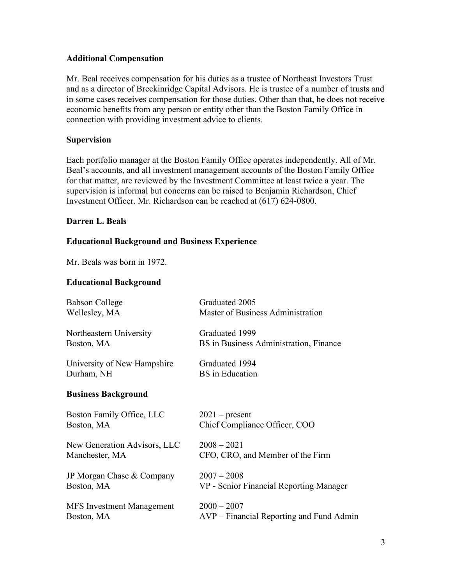# **Additional Compensation**

Mr. Beal receives compensation for his duties as a trustee of Northeast Investors Trust and as a director of Breckinridge Capital Advisors. He is trustee of a number of trusts and in some cases receives compensation for those duties. Other than that, he does not receive economic benefits from any person or entity other than the Boston Family Office in connection with providing investment advice to clients.

# **Supervision**

Each portfolio manager at the Boston Family Office operates independently. All of Mr. Beal's accounts, and all investment management accounts of the Boston Family Office for that matter, are reviewed by the Investment Committee at least twice a year. The supervision is informal but concerns can be raised to Benjamin Richardson, Chief Investment Officer. Mr. Richardson can be reached at (617) 624-0800.

# **Darren L. Beals**

# **Educational Background and Business Experience**

Mr. Beals was born in 1972.

### **Educational Background**

| <b>Babson College</b>            | Graduated 2005                           |
|----------------------------------|------------------------------------------|
| Wellesley, MA                    | Master of Business Administration        |
| Northeastern University          | Graduated 1999                           |
| Boston, MA                       | BS in Business Administration, Finance   |
| University of New Hampshire      | Graduated 1994                           |
| Durham, NH                       | <b>BS</b> in Education                   |
| <b>Business Background</b>       |                                          |
| Boston Family Office, LLC        | $2021$ – present                         |
| Boston, MA                       | Chief Compliance Officer, COO            |
| New Generation Advisors, LLC     | $2008 - 2021$                            |
| Manchester, MA                   | CFO, CRO, and Member of the Firm         |
| JP Morgan Chase & Company        | $2007 - 2008$                            |
| Boston, MA                       | VP - Senior Financial Reporting Manager  |
| <b>MFS</b> Investment Management | $2000 - 2007$                            |
| Boston, MA                       | AVP – Financial Reporting and Fund Admin |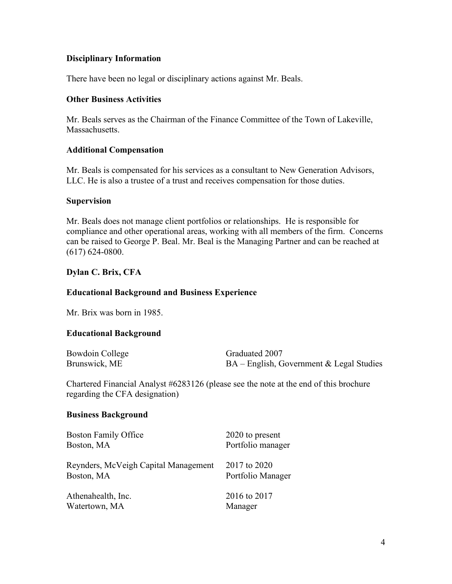There have been no legal or disciplinary actions against Mr. Beals.

### **Other Business Activities**

Mr. Beals serves as the Chairman of the Finance Committee of the Town of Lakeville, Massachusetts.

#### **Additional Compensation**

Mr. Beals is compensated for his services as a consultant to New Generation Advisors, LLC. He is also a trustee of a trust and receives compensation for those duties.

#### **Supervision**

Mr. Beals does not manage client portfolios or relationships. He is responsible for compliance and other operational areas, working with all members of the firm. Concerns can be raised to George P. Beal. Mr. Beal is the Managing Partner and can be reached at (617) 624-0800.

### **Dylan C. Brix, CFA**

#### **Educational Background and Business Experience**

Mr. Brix was born in 1985.

#### **Educational Background**

| Bowdoin College | Graduated 2007                              |
|-----------------|---------------------------------------------|
| Brunswick, ME   | $BA - English$ , Government & Legal Studies |

Chartered Financial Analyst #6283126 (please see the note at the end of this brochure regarding the CFA designation)

#### **Business Background**

| <b>Boston Family Office</b>          | 2020 to present   |
|--------------------------------------|-------------------|
| Boston, MA                           | Portfolio manager |
| Reynders, McVeigh Capital Management | 2017 to 2020      |
| Boston, MA                           | Portfolio Manager |
| Athenahealth, Inc.                   | 2016 to 2017      |
| Watertown, MA                        | Manager           |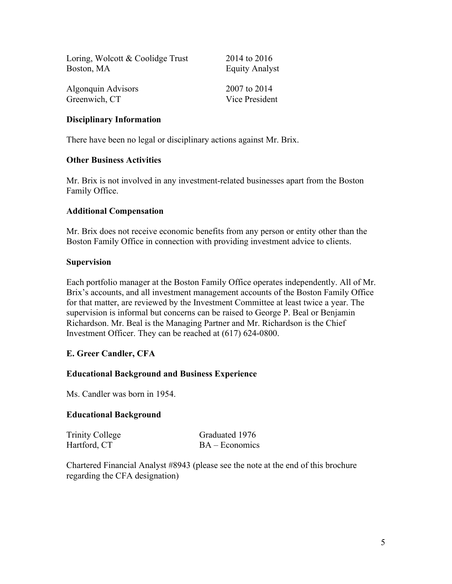| Loring, Wolcott & Coolidge Trust | 2014 to 2016          |
|----------------------------------|-----------------------|
| Boston, MA                       | <b>Equity Analyst</b> |
| Algonquin Advisors               | 2007 to 2014          |
| Greenwich, CT                    | Vice President        |

There have been no legal or disciplinary actions against Mr. Brix.

#### **Other Business Activities**

Mr. Brix is not involved in any investment-related businesses apart from the Boston Family Office.

#### **Additional Compensation**

Mr. Brix does not receive economic benefits from any person or entity other than the Boston Family Office in connection with providing investment advice to clients.

#### **Supervision**

Each portfolio manager at the Boston Family Office operates independently. All of Mr. Brix's accounts, and all investment management accounts of the Boston Family Office for that matter, are reviewed by the Investment Committee at least twice a year. The supervision is informal but concerns can be raised to George P. Beal or Benjamin Richardson. Mr. Beal is the Managing Partner and Mr. Richardson is the Chief Investment Officer. They can be reached at (617) 624-0800.

### **E. Greer Candler, CFA**

### **Educational Background and Business Experience**

Ms. Candler was born in 1954.

#### **Educational Background**

| Trinity College | Graduated 1976   |
|-----------------|------------------|
| Hartford, CT    | $BA - Economics$ |

Chartered Financial Analyst #8943 (please see the note at the end of this brochure regarding the CFA designation)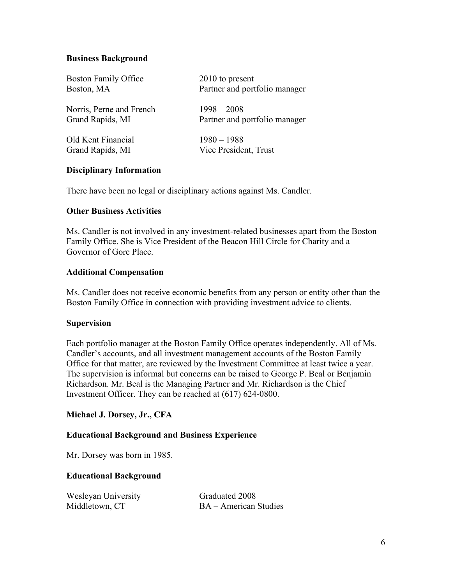# **Business Background**

| <b>Boston Family Office</b> | $2010$ to present             |
|-----------------------------|-------------------------------|
| Boston, MA                  | Partner and portfolio manager |
| Norris, Perne and French    | $1998 - 2008$                 |
| Grand Rapids, MI            | Partner and portfolio manager |
| Old Kent Financial          | $1980 - 1988$                 |
| Grand Rapids, MI            | Vice President, Trust         |

# **Disciplinary Information**

There have been no legal or disciplinary actions against Ms. Candler.

### **Other Business Activities**

Ms. Candler is not involved in any investment-related businesses apart from the Boston Family Office. She is Vice President of the Beacon Hill Circle for Charity and a Governor of Gore Place.

#### **Additional Compensation**

Ms. Candler does not receive economic benefits from any person or entity other than the Boston Family Office in connection with providing investment advice to clients.

### **Supervision**

Each portfolio manager at the Boston Family Office operates independently. All of Ms. Candler's accounts, and all investment management accounts of the Boston Family Office for that matter, are reviewed by the Investment Committee at least twice a year. The supervision is informal but concerns can be raised to George P. Beal or Benjamin Richardson. Mr. Beal is the Managing Partner and Mr. Richardson is the Chief Investment Officer. They can be reached at (617) 624-0800.

### **Michael J. Dorsey, Jr., CFA**

### **Educational Background and Business Experience**

Mr. Dorsey was born in 1985.

#### **Educational Background**

| Wesleyan University | Graduated 2008        |
|---------------------|-----------------------|
| Middletown, CT      | BA – American Studies |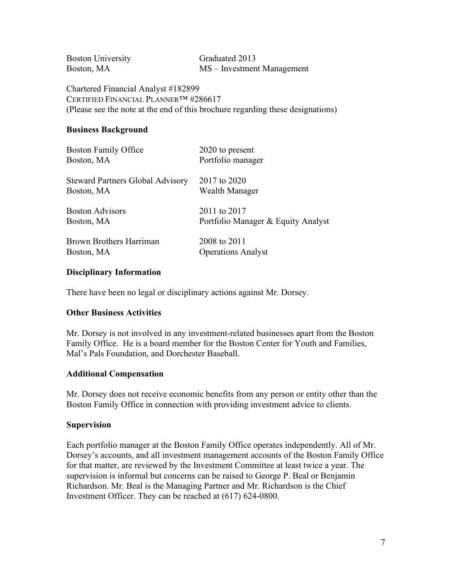| <b>Boston University</b> | Graduated 2013             |
|--------------------------|----------------------------|
| Boston, MA               | MS – Investment Management |

Chartered Financial Analyst #182899 CERTIFIED FINANCIAL PLANNER™ #286617 (Please see the note at the end of this brochure regarding these designations)

# **Business Background**

| <b>Boston Family Office</b>             | 2020 to present                    |
|-----------------------------------------|------------------------------------|
| Boston, MA                              | Portfolio manager                  |
| <b>Steward Partners Global Advisory</b> | 2017 to 2020                       |
| Boston, MA                              | Wealth Manager                     |
| <b>Boston Advisors</b>                  | 2011 to 2017                       |
| Boston, MA                              | Portfolio Manager & Equity Analyst |
| <b>Brown Brothers Harriman</b>          | 2008 to 2011                       |
| Boston, MA                              | <b>Operations Analyst</b>          |

# **Disciplinary Information**

There have been no legal or disciplinary actions against Mr. Dorsey.

### **Other Business Activities**

Mr. Dorsey is not involved in any investment-related businesses apart from the Boston Family Office. He is a board member for the Boston Center for Youth and Families, Mal's Pals Foundation, and Dorchester Baseball.

### **Additional Compensation**

Mr. Dorsey does not receive economic benefits from any person or entity other than the Boston Family Office in connection with providing investment advice to clients.

### **Supervision**

Each portfolio manager at the Boston Family Office operates independently. All of Mr. Dorsey's accounts, and all investment management accounts of the Boston Family Office for that matter, are reviewed by the Investment Committee at least twice a year. The supervision is informal but concerns can be raised to George P. Beal or Benjamin Richardson. Mr. Beal is the Managing Partner and Mr. Richardson is the Chief Investment Officer. They can be reached at (617) 624-0800.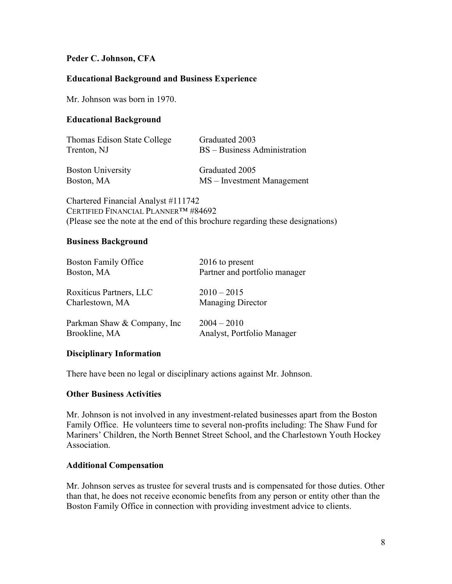# **Peder C. Johnson, CFA**

### **Educational Background and Business Experience**

Mr. Johnson was born in 1970.

#### **Educational Background**

| Thomas Edison State College | Graduated 2003               |
|-----------------------------|------------------------------|
| Trenton, NJ                 | BS – Business Administration |
| <b>Boston University</b>    | Graduated 2005               |

Boston, MA MS – Investment Management

Chartered Financial Analyst #111742 CERTIFIED FINANCIAL PLANNER™ #84692 (Please see the note at the end of this brochure regarding these designations)

#### **Business Background**

| <b>Boston Family Office</b>  | 2016 to present               |
|------------------------------|-------------------------------|
| Boston, MA                   | Partner and portfolio manager |
| Roxiticus Partners, LLC      | $2010 - 2015$                 |
| Charlestown, MA              | Managing Director             |
| Parkman Shaw & Company, Inc. | $2004 - 2010$                 |
| Brookline, MA                | Analyst, Portfolio Manager    |

### **Disciplinary Information**

There have been no legal or disciplinary actions against Mr. Johnson.

### **Other Business Activities**

Mr. Johnson is not involved in any investment-related businesses apart from the Boston Family Office. He volunteers time to several non-profits including: The Shaw Fund for Mariners' Children, the North Bennet Street School, and the Charlestown Youth Hockey Association.

#### **Additional Compensation**

Mr. Johnson serves as trustee for several trusts and is compensated for those duties. Other than that, he does not receive economic benefits from any person or entity other than the Boston Family Office in connection with providing investment advice to clients.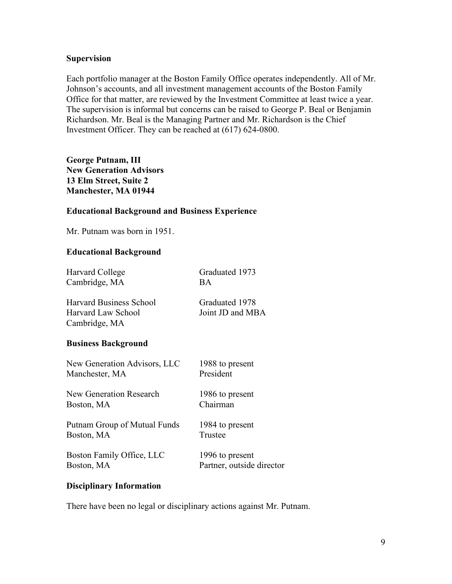### **Supervision**

Each portfolio manager at the Boston Family Office operates independently. All of Mr. Johnson's accounts, and all investment management accounts of the Boston Family Office for that matter, are reviewed by the Investment Committee at least twice a year. The supervision is informal but concerns can be raised to George P. Beal or Benjamin Richardson. Mr. Beal is the Managing Partner and Mr. Richardson is the Chief Investment Officer. They can be reached at (617) 624-0800.

# **George Putnam, III New Generation Advisors 13 Elm Street, Suite 2 Manchester, MA 01944**

# **Educational Background and Business Experience**

Mr. Putnam was born in 1951.

# **Educational Background**

| Harvard College                | Graduated 1973            |
|--------------------------------|---------------------------|
| Cambridge, MA                  | BA.                       |
| <b>Harvard Business School</b> | Graduated 1978            |
| <b>Harvard Law School</b>      | Joint JD and MBA          |
| Cambridge, MA                  |                           |
| <b>Business Background</b>     |                           |
| New Generation Advisors, LLC   | 1988 to present           |
| Manchester, MA                 | President                 |
| <b>New Generation Research</b> | 1986 to present           |
| Boston, MA                     | Chairman                  |
| Putnam Group of Mutual Funds   | 1984 to present           |
| Boston, MA                     | Trustee                   |
| Boston Family Office, LLC      | 1996 to present           |
| Boston, MA                     | Partner, outside director |
|                                |                           |

# **Disciplinary Information**

There have been no legal or disciplinary actions against Mr. Putnam.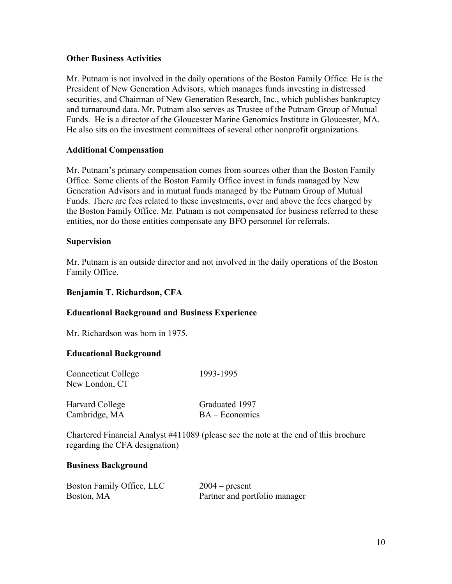# **Other Business Activities**

Mr. Putnam is not involved in the daily operations of the Boston Family Office. He is the President of New Generation Advisors, which manages funds investing in distressed securities, and Chairman of New Generation Research, Inc., which publishes bankruptcy and turnaround data. Mr. Putnam also serves as Trustee of the Putnam Group of Mutual Funds. He is a director of the Gloucester Marine Genomics Institute in Gloucester, MA. He also sits on the investment committees of several other nonprofit organizations.

# **Additional Compensation**

Mr. Putnam's primary compensation comes from sources other than the Boston Family Office. Some clients of the Boston Family Office invest in funds managed by New Generation Advisors and in mutual funds managed by the Putnam Group of Mutual Funds. There are fees related to these investments, over and above the fees charged by the Boston Family Office. Mr. Putnam is not compensated for business referred to these entities, nor do those entities compensate any BFO personnel for referrals.

### **Supervision**

Mr. Putnam is an outside director and not involved in the daily operations of the Boston Family Office.

## **Benjamin T. Richardson, CFA**

### **Educational Background and Business Experience**

Mr. Richardson was born in 1975.

### **Educational Background**

| <b>Connecticut College</b><br>New London, CT | 1993-1995        |
|----------------------------------------------|------------------|
| Harvard College                              | Graduated 1997   |
| Cambridge, MA                                | $BA - Economics$ |

Chartered Financial Analyst #411089 (please see the note at the end of this brochure regarding the CFA designation)

### **Business Background**

| Boston Family Office, LLC | $2004$ – present              |
|---------------------------|-------------------------------|
| Boston, MA                | Partner and portfolio manager |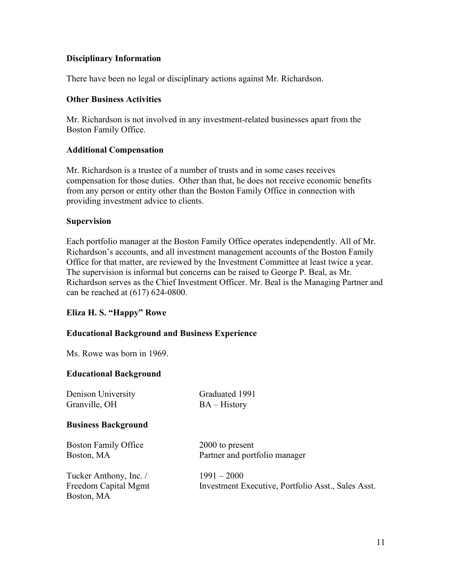There have been no legal or disciplinary actions against Mr. Richardson.

## **Other Business Activities**

Mr. Richardson is not involved in any investment-related businesses apart from the Boston Family Office.

### **Additional Compensation**

Mr. Richardson is a trustee of a number of trusts and in some cases receives compensation for those duties. Other than that, he does not receive economic benefits from any person or entity other than the Boston Family Office in connection with providing investment advice to clients.

# **Supervision**

Each portfolio manager at the Boston Family Office operates independently. All of Mr. Richardson's accounts, and all investment management accounts of the Boston Family Office for that matter, are reviewed by the Investment Committee at least twice a year. The supervision is informal but concerns can be raised to George P. Beal, as Mr. Richardson serves as the Chief Investment Officer. Mr. Beal is the Managing Partner and can be reached at (617) 624-0800.

# **Eliza H. S. "Happy" Rowe**

### **Educational Background and Business Experience**

Ms. Rowe was born in 1969.

### **Educational Background**

Denison University Graduated 1991 Granville, OH BA – History **Business Background** Boston Family Office 2000 to present Boston, MA Partner and portfolio manager Tucker Anthony, Inc.  $/$  1991 – 2000 Freedom Capital Mgmt Investment Executive, Portfolio Asst., Sales Asst. Boston, MA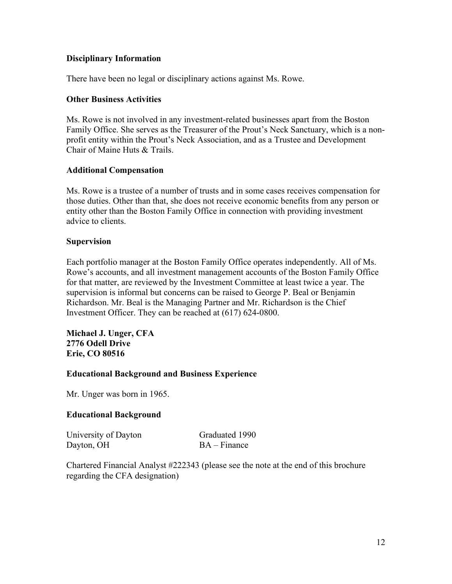There have been no legal or disciplinary actions against Ms. Rowe.

### **Other Business Activities**

Ms. Rowe is not involved in any investment-related businesses apart from the Boston Family Office. She serves as the Treasurer of the Prout's Neck Sanctuary, which is a nonprofit entity within the Prout's Neck Association, and as a Trustee and Development Chair of Maine Huts & Trails.

### **Additional Compensation**

Ms. Rowe is a trustee of a number of trusts and in some cases receives compensation for those duties. Other than that, she does not receive economic benefits from any person or entity other than the Boston Family Office in connection with providing investment advice to clients.

# **Supervision**

Each portfolio manager at the Boston Family Office operates independently. All of Ms. Rowe's accounts, and all investment management accounts of the Boston Family Office for that matter, are reviewed by the Investment Committee at least twice a year. The supervision is informal but concerns can be raised to George P. Beal or Benjamin Richardson. Mr. Beal is the Managing Partner and Mr. Richardson is the Chief Investment Officer. They can be reached at (617) 624-0800.

**Michael J. Unger, CFA 2776 Odell Drive Erie, CO 80516**

### **Educational Background and Business Experience**

Mr. Unger was born in 1965.

### **Educational Background**

University of Dayton Graduated 1990 Dayton, OH BA – Finance

Chartered Financial Analyst #222343 (please see the note at the end of this brochure regarding the CFA designation)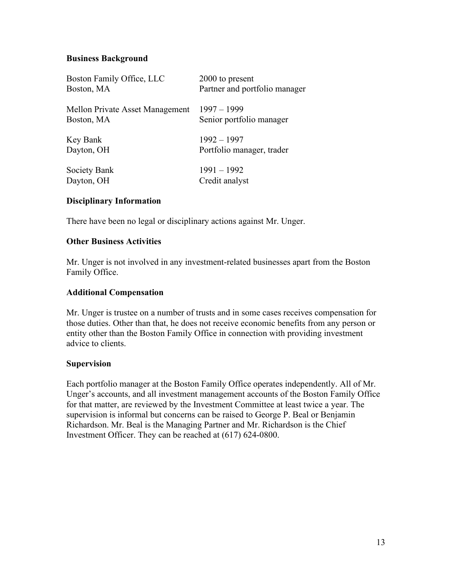# **Business Background**

| Boston Family Office, LLC       | 2000 to present               |
|---------------------------------|-------------------------------|
| Boston, MA                      | Partner and portfolio manager |
| Mellon Private Asset Management | $1997 - 1999$                 |
| Boston, MA                      | Senior portfolio manager      |
| Key Bank                        | $1992 - 1997$                 |
| Dayton, OH                      | Portfolio manager, trader     |
| Society Bank                    | $1991 - 1992$                 |
| Dayton, OH                      | Credit analyst                |

# **Disciplinary Information**

There have been no legal or disciplinary actions against Mr. Unger.

# **Other Business Activities**

Mr. Unger is not involved in any investment-related businesses apart from the Boston Family Office.

### **Additional Compensation**

Mr. Unger is trustee on a number of trusts and in some cases receives compensation for those duties. Other than that, he does not receive economic benefits from any person or entity other than the Boston Family Office in connection with providing investment advice to clients.

### **Supervision**

Each portfolio manager at the Boston Family Office operates independently. All of Mr. Unger's accounts, and all investment management accounts of the Boston Family Office for that matter, are reviewed by the Investment Committee at least twice a year. The supervision is informal but concerns can be raised to George P. Beal or Benjamin Richardson. Mr. Beal is the Managing Partner and Mr. Richardson is the Chief Investment Officer. They can be reached at (617) 624-0800.